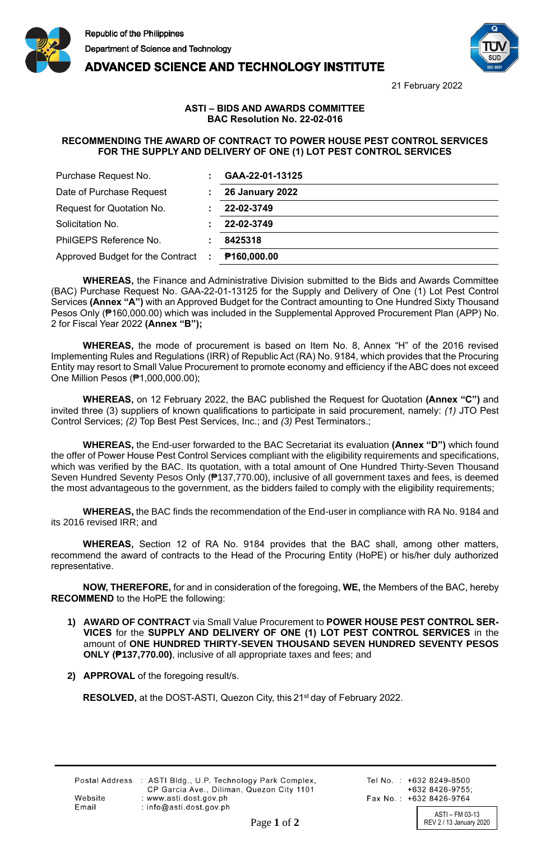





21 February 2022

## **ASTI – BIDS AND AWARDS COMMITTEE BAC Resolution No. 22-02-016**

## **RECOMMENDING THE AWARD OF CONTRACT TO POWER HOUSE PEST CONTROL SERVICES FOR THE SUPPLY AND DELIVERY OF ONE (1) LOT PEST CONTROL SERVICES**

| Purchase Request No.               | GAA-22-01-13125         |
|------------------------------------|-------------------------|
| Date of Purchase Request           | <b>26 January 2022</b>  |
| Request for Quotation No.          | 22-02-3749              |
| Solicitation No.                   | 22-02-3749              |
| PhilGEPS Reference No.             | 8425318                 |
| Approved Budget for the Contract : | P <sub>160,000.00</sub> |

**WHEREAS,** the Finance and Administrative Division submitted to the Bids and Awards Committee (BAC) Purchase Request No. GAA-22-01-13125 for the Supply and Delivery of One (1) Lot Pest Control Services **(Annex "A")** with an Approved Budget for the Contract amounting to One Hundred Sixty Thousand Pesos Only (₱160,000.00) which was included in the Supplemental Approved Procurement Plan (APP) No. 2 for Fiscal Year 2022 **(Annex "B");**

**WHEREAS,** the mode of procurement is based on Item No. 8, Annex "H" of the 2016 revised Implementing Rules and Regulations (IRR) of Republic Act (RA) No. 9184, which provides that the Procuring Entity may resort to Small Value Procurement to promote economy and efficiency if the ABC does not exceed One Million Pesos (₱1,000,000.00);

**WHEREAS,** on 12 February 2022, the BAC published the Request for Quotation **(Annex "C")** and invited three (3) suppliers of known qualifications to participate in said procurement, namely: *(1)* JTO Pest Control Services; *(2)* Top Best Pest Services, Inc.; and *(3)* Pest Terminators.;

**WHEREAS,** the End-user forwarded to the BAC Secretariat its evaluation **(Annex "D")** which found the offer of Power House Pest Control Services compliant with the eligibility requirements and specifications, which was verified by the BAC. Its quotation, with a total amount of One Hundred Thirty-Seven Thousand Seven Hundred Seventy Pesos Only (₱137,770.00), inclusive of all government taxes and fees, is deemed the most advantageous to the government, as the bidders failed to comply with the eligibility requirements;

**WHEREAS,** the BAC finds the recommendation of the End-user in compliance with RA No. 9184 and its 2016 revised IRR; and

**WHEREAS,** Section 12 of RA No. 9184 provides that the BAC shall, among other matters, recommend the award of contracts to the Head of the Procuring Entity (HoPE) or his/her duly authorized representative.

**NOW, THEREFORE,** for and in consideration of the foregoing, **WE,** the Members of the BAC, hereby **RECOMMEND** to the HoPE the following:

- **1) AWARD OF CONTRACT** via Small Value Procurement to **POWER HOUSE PEST CONTROL SER-VICES** for the **SUPPLY AND DELIVERY OF ONE (1) LOT PEST CONTROL SERVICES** in the amount of **ONE HUNDRED THIRTY-SEVEN THOUSAND SEVEN HUNDRED SEVENTY PESOS ONLY (₱137,770.00)**, inclusive of all appropriate taxes and fees; and
- **2) APPROVAL** of the foregoing result/s.

**RESOLVED,** at the DOST-ASTI, Quezon City, this 21<sup>st</sup> day of February 2022.